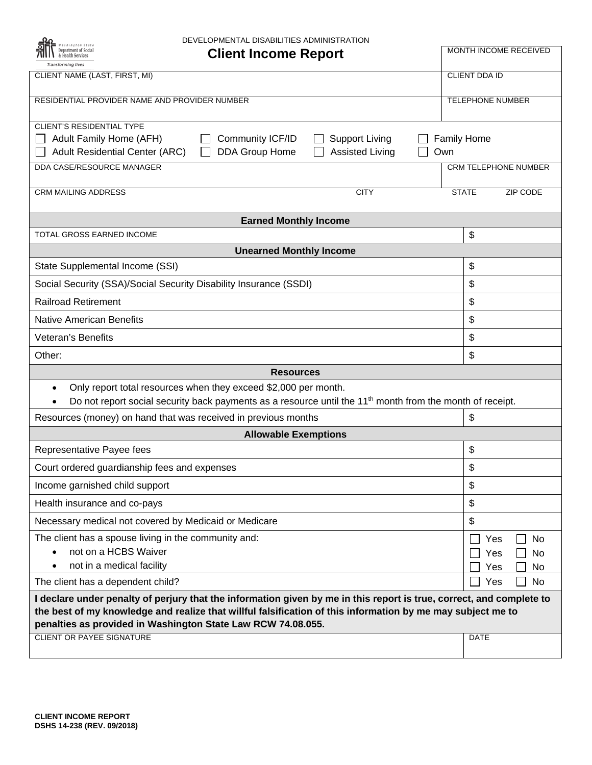| DEVELOPMENTAL DISABILITIES ADMINISTRATION                                                                                                                                                                                  |                          |
|----------------------------------------------------------------------------------------------------------------------------------------------------------------------------------------------------------------------------|--------------------------|
| <b>Client Income Report</b><br><b>Transforming lives</b>                                                                                                                                                                   | MONTH INCOME RECEIVED    |
| CLIENT NAME (LAST, FIRST, MI)                                                                                                                                                                                              | CLIENT DDA ID            |
| RESIDENTIAL PROVIDER NAME AND PROVIDER NUMBER                                                                                                                                                                              | TELEPHONE NUMBER         |
| <b>CLIENT'S RESIDENTIAL TYPE</b><br>Adult Family Home (AFH)<br>Community ICF/ID<br><b>Support Living</b><br><b>Family Home</b><br><b>Assisted Living</b><br><b>Adult Residential Center (ARC)</b><br>DDA Group Home<br>Own |                          |
| DDA CASE/RESOURCE MANAGER                                                                                                                                                                                                  | CRM TELEPHONE NUMBER     |
| <b>CRM MAILING ADDRESS</b><br><b>CITY</b>                                                                                                                                                                                  | <b>STATE</b><br>ZIP CODE |
| <b>Earned Monthly Income</b>                                                                                                                                                                                               |                          |
| TOTAL GROSS EARNED INCOME                                                                                                                                                                                                  | \$                       |
| <b>Unearned Monthly Income</b>                                                                                                                                                                                             |                          |
| State Supplemental Income (SSI)                                                                                                                                                                                            | \$                       |
| Social Security (SSA)/Social Security Disability Insurance (SSDI)                                                                                                                                                          | \$                       |
| <b>Railroad Retirement</b>                                                                                                                                                                                                 | \$                       |
| <b>Native American Benefits</b>                                                                                                                                                                                            | \$                       |
| Veteran's Benefits                                                                                                                                                                                                         | \$                       |
| Other:                                                                                                                                                                                                                     | \$                       |
| <b>Resources</b>                                                                                                                                                                                                           |                          |
| Only report total resources when they exceed \$2,000 per month.<br>$\bullet$<br>Do not report social security back payments as a resource until the 11 <sup>th</sup> month from the month of receipt.                      |                          |
| Resources (money) on hand that was received in previous months                                                                                                                                                             | \$                       |
| <b>Allowable Exemptions</b>                                                                                                                                                                                                |                          |
| Representative Payee fees                                                                                                                                                                                                  | \$                       |
| Court ordered guardianship fees and expenses                                                                                                                                                                               | \$                       |
| Income garnished child support                                                                                                                                                                                             | \$                       |
| Health insurance and co-pays                                                                                                                                                                                               | \$                       |
| Necessary medical not covered by Medicaid or Medicare                                                                                                                                                                      | \$                       |
| The client has a spouse living in the community and:<br>not on a HCBS Waiver<br>not in a medical facility                                                                                                                  | No<br>Yes<br>No<br>Yes   |
| $\bullet$<br>The client has a dependent child?                                                                                                                                                                             | No<br>Yes<br>Yes<br>No   |
| I declare under penalty of perjury that the information given by me in this report is true, correct, and complete to                                                                                                       |                          |
| the best of my knowledge and realize that willful falsification of this information by me may subject me to<br>penalties as provided in Washington State Law RCW 74.08.055.                                                |                          |
| <b>CLIENT OR PAYEE SIGNATURE</b>                                                                                                                                                                                           | DATE                     |
|                                                                                                                                                                                                                            |                          |